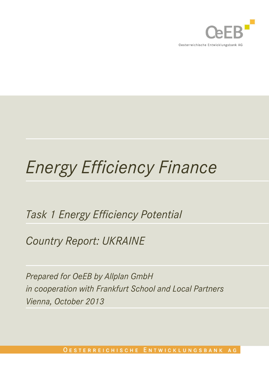

# *Energy Efficiency Finance*

## *Task 1 Energy Efficiency Potential*

*Country Report: UKRAINE*

*Prepared for OeEB by Allplan GmbH in cooperation with Frankfurt School and Local Partners Vienna, October 2013*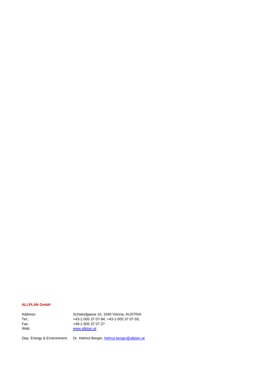#### **ALLPLAN GmbH**

| Address: | Schwindgasse 10, 1040 Vienna, AUSTRIA   |
|----------|-----------------------------------------|
| Tel∴     | +43-1-505 37 07-94: +43-1-505 37 07-55: |
| Fax:     | +49-1-505 37 07-27                      |
| Web:     | www.allplan.at                          |

Dep. Energy & Environment: Dr. Helmut Berger[, helmut.berger@allplan.at](mailto:helmut.berger@allplan.at)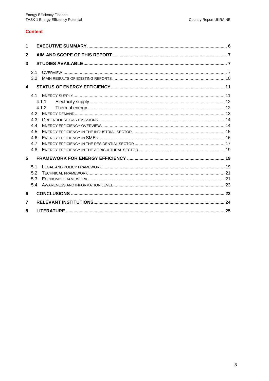#### **Content**

| 1                |                                            |                |  |
|------------------|--------------------------------------------|----------------|--|
| $\mathbf{2}$     |                                            |                |  |
| 3                |                                            |                |  |
|                  | 3.1<br>3.2                                 |                |  |
| $\blacktriangle$ |                                            |                |  |
|                  | 42<br>4.3<br>44<br>4.5<br>4.6<br>47<br>4.8 | 4.1.1<br>4.1.2 |  |
| 5                |                                            |                |  |
|                  | 5.1<br>5.2<br>5.3<br>5.4                   |                |  |
| 6                |                                            |                |  |
| 7                |                                            |                |  |
| 8                |                                            |                |  |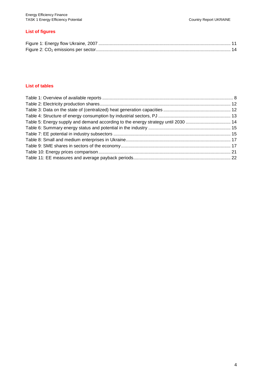#### **List of figures**

#### **List of tables**

| Table 5: Energy supply and demand according to the energy strategy until 2030  14 |  |
|-----------------------------------------------------------------------------------|--|
|                                                                                   |  |
|                                                                                   |  |
|                                                                                   |  |
|                                                                                   |  |
|                                                                                   |  |
|                                                                                   |  |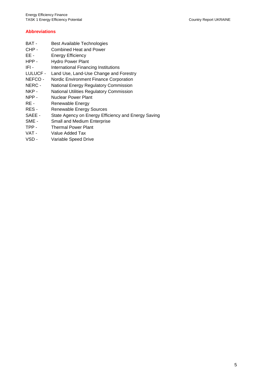#### **Abbreviations**

- BAT Best Available Technologies
- CHP Combined Heat and Power
- EE Energy Efficiency
- HPP Hydro Power Plant
- IFI International Financing Institutions
- LULUCF Land Use, Land-Use Change and Forestry
- NEFCO Nordic Environment Finance Corporation
- NERC National Energy Regulatory Commission
- NKP National Utilities Regulatory Commission
- NPP Nuclear Power Plant
- RE Renewable Energy
- RES Renewable Energy Sources
- SAEE State Agency on Energy Efficiency and Energy Saving
- SME Small and Medium Enterprise
- TPP Thermal Power Plant
- VAT Value Added Tax
- VSD Variable Speed Drive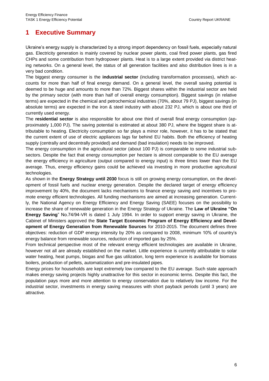#### **1 Executive Summary**

Ukraine's energy supply is characterized by a strong import dependency on fossil fuels, especially natural gas. Electricity generation is mainly covered by nuclear power plants, coal fired power plants, gas fired CHPs and some contribution from hydropower plants. Heat is to a large extent provided via district heating networks. On a general level, the status of all generation facilities and also distribution lines is in a very bad condition.

The biggest energy consumer is the **industrial sector** (including transformation processes), which accounts for more than half of final energy demand. On a general level, the overall saving potential is deemed to be huge and amounts to more than 72%. Biggest shares within the industrial sector are held by the primary sector (with more than half of overall energy consumption). Biggest savings (in relative terms) are expected in the chemical and petrochemical industries (70%, about 79 PJ), biggest savings (in absolute terms) are expected in the iron & steel industry with about 232 PJ, which is about one third of currently used energy.

The **residential sector** is also responsible for about one third of overall final energy consumption (approximately 1,000 PJ). The saving potential is estimated at about 380 PJ, where the biggest share is attributable to heating. Electricity consumption so far plays a minor role, however, it has to be stated that the current extent of use of electric appliances lags far behind EU habits. Both the efficiency of heating supply (centrally and decentrally provided) and demand (bad insulation) needs to be improved.

The energy consumption in the agricultural sector (about 100 PJ) is comparable to some industrial subsectors. Despite the fact that energy consumption per hectare is almost comparable to the EU average the energy efficiency in agriculture (output compared to energy input) is three times lower than the EU average. Thus, energy efficiency gains could be achieved via investing in more productive agricultural technologies.

As shown in the **Energy Strategy until 2030** focus is still on growing energy consumption, on the development of fossil fuels and nuclear energy generation. Despite the declared target of energy efficiency improvement by 40%, the document lacks mechanisms to finance energy saving and incentives to promote energy efficient technologies. All funding mechanisms are aimed at increasing generation. Currently, the National Agency on Energy Efficiency and Energy Saving (SAEE) focuses on the possibility to increase the share of renewable generation in the Energy Strategy of Ukraine. The **Law of Ukraine "On Energy Saving**" No.74/94-VR is dated 1 July 1994. In order to support energy saving in Ukraine, the Cabinet of Ministers approved the **State Target Economic Program of Energy Efficiency and Development of Energy Generation from Renewable Sources** for 2010-2015. The document defines three objectives: reduction of GDP energy intensity by 20% as compared to 2008, minimum 10% of country's energy balance from renewable sources, reduction of imported gas by 25%.

From technical perspective most of the relevant energy efficient technologies are available in Ukraine, however not all are already established on the market. Little experience is currently attributable to solar water heating, heat pumps, biogas and flue gas utilization, long term experience is available for biomass boilers, production of pellets, automatization and pre-insulated pipes.

Energy prices for households are kept extremely low compared to the EU average. Such state approach makes energy saving projects highly unattractive for this sector in economic terms. Despite this fact, the population pays more and more attention to energy conservation due to relatively low income. For the industrial sector, investments in energy saving measures with short payback periods (until 3 years) are attractive.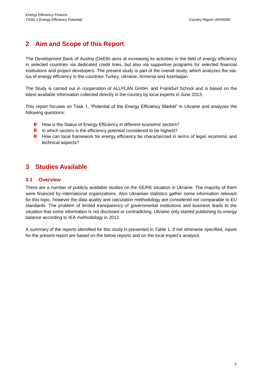#### **2 Aim and Scope of this Report**

The Development Bank of Austria (OeEB) aims at increasing its activities in the field of energy efficiency in selected countries via dedicated credit lines, but also via supportive programs for selected financial institutions and project developers. The present study is part of the overall study, which analyzes the status of energy efficiency in the countries Turkey, Ukraine, Armenia and Azerbaijan.

The Study is carried out in cooperation of ALLPLAN GmbH. and Frankfurt School and is based on the latest available information collected directly in the country by local experts in June 2013.

This report focuses on Task 1, "Potential of the Energy Efficiency Market" in Ukraine and analyzes the following questions:

- **H** How is the Status of Energy Efficiency in different economic sectors?
- In which sectors is the efficiency potential considered to be highest?
- **How can local framework for energy efficiency be characterized in terms of legal, economic and** technical aspects?

#### **3 Studies Available**

#### **3.1 Overview**

There are a number of publicly available studies on the EE/RE situation in Ukraine. The majority of them were financed by international organizations. Also Ukrainian statistics gather some information relevant for this topic, however the data quality and calculation methodology are considered not comparable to EU standards. The problem of limited transparency of governmental institutions and business leads to the situation that some information is not disclosed or contradicting. Ukraine only started publishing its energy balance according to IEA methodology in 2012.

A summary of the reports identified for this study is presented in [Table 1.](#page-7-0) If not otherwise specified, inputs for the present report are based on the below reports and on the local expert's analysis.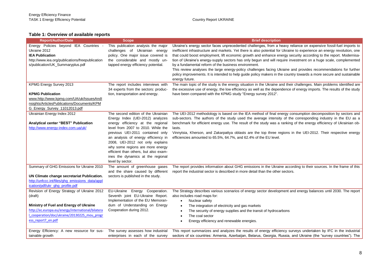#### **Table 1: Overview of available reports**

<span id="page-7-0"></span>

| <b>Report/Author/Date</b>                                                                                                                                                                                                                                                | <b>Scope</b>                                                                                                                                                                                                                                                                                                                                                                                            | <b>Brief description</b>                                                                                                                                                                                                                                                                                                                                                                                                                                                                                                                                                                                                                                                                                                                                                                                   |
|--------------------------------------------------------------------------------------------------------------------------------------------------------------------------------------------------------------------------------------------------------------------------|---------------------------------------------------------------------------------------------------------------------------------------------------------------------------------------------------------------------------------------------------------------------------------------------------------------------------------------------------------------------------------------------------------|------------------------------------------------------------------------------------------------------------------------------------------------------------------------------------------------------------------------------------------------------------------------------------------------------------------------------------------------------------------------------------------------------------------------------------------------------------------------------------------------------------------------------------------------------------------------------------------------------------------------------------------------------------------------------------------------------------------------------------------------------------------------------------------------------------|
| Energy Policies beyond IEA Countries -<br>Ukraine 2012<br><b>IEA Publication</b><br>http://www.iea.org/publications/freepublication<br>s/publication/UK_Summaryplus.pdf                                                                                                  | This publication analysis the major<br>challenges of Ukrainian energy<br>policy. One major issue covered is<br>the considerable and mostly un-<br>tapped energy efficiency potential.                                                                                                                                                                                                                   | Ukraine's energy sector faces unprecedented challenges, from a heavy reliance on expensive fossil-fuel imports to<br>inefficient infrastructure and markets. Yet there is also potential for Ukraine to experience an energy revolution, one<br>that could boost employment, lift economic growth and enhance energy security according to the report. Modernisa-<br>tion of Ukraine's energy-supply sectors has only begun and will require investment on a huge scale, complemented<br>by a fundamental reform of the business environment.<br>This review analyses the large energy-policy challenges facing Ukraine and provides recommendations for further<br>policy improvements. It is intended to help guide policy makers in the country towards a more secure and sustainable<br>energy future. |
| <b>KPMG Energy Survey 2013</b><br><b>KPMG Publication</b><br>www.http://www.kpmg.com/UA/uk/IssuesAndl<br>nsights/ArticlesPublications/Documents/KPM<br>G_Energy_Survey_11012013.pdf                                                                                      | The report includes interviews with<br>34 experts from the sectors: produc-<br>tion, transportation and energy.                                                                                                                                                                                                                                                                                         | The main topic of the study is the energy situation in the Ukraine and their challenges. Main problems identified are<br>the excessive use of energy, the low efficiency as well as the dependence of energy imports. The results of the study<br>have been compared with the KPMG study "Energy survey 2012".                                                                                                                                                                                                                                                                                                                                                                                                                                                                                             |
| Ukrainian Energy Index 2012<br>Analytical center "BEST" Publication<br>http://www.energy-index.com.ua/uk/                                                                                                                                                                | The second edition of the Ukrainian<br>Energy Index (UEI-2012) analyzes<br>energy efficiency at the regional<br>level from 2007 to 2010. While the<br>previous UEI-2011 contained only<br>an analysis of energy efficiency in<br>2008, UEI-2012 not only explains<br>why some regions are more energy<br>efficient than others, but also exam-<br>ines the dynamics at the regional<br>level by sector. | The UEI-2012 methodology is based on the IEA method of final energy consumption decomposition by sectors and<br>sub-sectors. The authors of the study used the average intensity of the corresponding industry in the EU as a<br>benchmark for efficient energy use. The result of the study was a ranking of the energy efficiency of Ukrainian ob-<br>lasts.<br>Vinnytsia, Kherson, and Zakarpattya oblasts are the top three regions in the UEI-2012. Their respective energy<br>efficiencies amounted to 65.5%, 64.7%, and 62.4% of the EU level.                                                                                                                                                                                                                                                      |
| Summary of GHG Emissions for Ukraine 2010<br>UN Climate change secretariat Publication.<br>http://unfccc.int/files/ghg_emissions_data/appl<br>ication/pdf/ukr_ghg_profile.pdf                                                                                            | The amount of greenhouse gases<br>and the share caused by different<br>sectors is published in the study.                                                                                                                                                                                                                                                                                               | The report provides information about GHG emissions in the Ukraine according to their sources. In the frame of this<br>report the industrial sector is described in more detail than the other sectors.                                                                                                                                                                                                                                                                                                                                                                                                                                                                                                                                                                                                    |
| Revision of Energy Strategy of Ukraine 2012<br>(draft)<br>Ministry of Fuel and Energy of Ukraine<br>http://ec.europa.eu/energy/international/bilatera<br>_cooperation/doc/ukraine/20130225_mou_progr<br>ess report7 en.pdf<br>Energy Efficiency: A new resource for sus- | EU-Ukraine Energy Cooperation.<br>Seventh joint EU-Ukraine Report.<br>Implementation of the EU Memoran-<br>dum of Understanding on Energy<br>Cooperation during 2012.<br>The survey assesses how industrial                                                                                                                                                                                             | The Strategy describes various scenarios of energy sector development and energy balances until 2030. The report<br>also includes road maps for:<br>Nuclear safety<br>$\bullet$<br>The integration of electricity and gas markets<br>$\bullet$<br>The security of energy supplies and the transit of hydrocarbons<br>$\bullet$<br>The coal sector<br>$\bullet$<br>Energy efficiency and renewable energies.<br>This report summarizes and analyzes the results of energy efficiency surveys undertaken by IFC in the industrial                                                                                                                                                                                                                                                                            |
| tainable growth                                                                                                                                                                                                                                                          | enterprises in each of the survey                                                                                                                                                                                                                                                                                                                                                                       | sectors of six countries: Armenia, Azerbaijan, Belarus, Georgia, Russia, and Ukraine (the "survey countries"). The                                                                                                                                                                                                                                                                                                                                                                                                                                                                                                                                                                                                                                                                                         |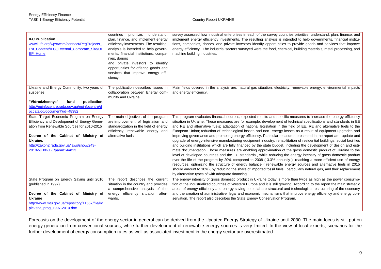| <b>IFC Publication</b><br>www1.ifc.org/wps/wcm/connect/RegProjects<br>Ext Content/IFC External Corporate Site/UE<br>EP Home                                                                                                                                     | countries<br>prioritize,<br>understand,<br>plan, finance, and implement energy<br>efficiency investments. The resulting<br>analysis is intended to help govern-<br>ments, financial institutions, compa-<br>nies, donors<br>and private investors to identify<br>opportunities for offering goods and<br>services that improve energy effi-<br>ciency. | survey assessed how industrial enterprises in each of the survey countries prioritize, understand, plan, finance, and<br>implement energy efficiency investments. The resulting analysis is intended to help governments, financial institu-<br>tions, companies, donors, and private investors identify opportunities to provide goods and services that improve<br>energy efficiency. The industrial sectors surveyed were the food, chemical, building materials, metal processing, and<br>machine building industries.                                                                                                                                                                                                                                                                                                                                                                                                                                                                                                                                                                                                                                                                                                                                                                                                                                                                                                                                                                                       |
|-----------------------------------------------------------------------------------------------------------------------------------------------------------------------------------------------------------------------------------------------------------------|--------------------------------------------------------------------------------------------------------------------------------------------------------------------------------------------------------------------------------------------------------------------------------------------------------------------------------------------------------|------------------------------------------------------------------------------------------------------------------------------------------------------------------------------------------------------------------------------------------------------------------------------------------------------------------------------------------------------------------------------------------------------------------------------------------------------------------------------------------------------------------------------------------------------------------------------------------------------------------------------------------------------------------------------------------------------------------------------------------------------------------------------------------------------------------------------------------------------------------------------------------------------------------------------------------------------------------------------------------------------------------------------------------------------------------------------------------------------------------------------------------------------------------------------------------------------------------------------------------------------------------------------------------------------------------------------------------------------------------------------------------------------------------------------------------------------------------------------------------------------------------|
| Ukraine and Energy Community: two years of<br>suspense                                                                                                                                                                                                          | The publication describes issues in<br>collaboration between Energy com-<br>munity and Ukraine                                                                                                                                                                                                                                                         | Main fields covered in the analysis are: natural gas situation, electricity, renewable energy, environmental impacts<br>and energy efficiency.                                                                                                                                                                                                                                                                                                                                                                                                                                                                                                                                                                                                                                                                                                                                                                                                                                                                                                                                                                                                                                                                                                                                                                                                                                                                                                                                                                   |
| "Vidrodzhennya"<br>publication.<br>fund<br>http://euinfocentre.rada.gov.ua/euinfocentre/d<br>occatalog/document?id=48382                                                                                                                                        |                                                                                                                                                                                                                                                                                                                                                        |                                                                                                                                                                                                                                                                                                                                                                                                                                                                                                                                                                                                                                                                                                                                                                                                                                                                                                                                                                                                                                                                                                                                                                                                                                                                                                                                                                                                                                                                                                                  |
| State Target Economic Program on Energy<br>Efficiency and Development of Energy Gener-<br>ation from Renewable Sources for 2010-2015<br>Decree of the Cabinet of Ministry of<br>Ukraine.<br>http://zakon2.rada.gov.ua/laws/show/243-<br>2010-%D0%BF/paran14#n13 | The main objectives of the program<br>are improvement of legislation and<br>standardization in the field of energy<br>efficiency, renewable energy and<br>alternative fuels.                                                                                                                                                                           | This program evaluates financial sources, expected results and specific measures to increase the energy efficiency<br>situation in Ukraine. These measures are for example: development of technical specifications and standards in EE<br>and RE and alternative fuels; adaptation of national legislation in the field of EE, RE and alternative fuels to the<br>European Union; reduction of technological losses and non- energy losses as a result of equipment upgrades and<br>improving governance and promoting energy efficiency. Particular measures presented in the report are: update and<br>upgrade of energy-intensive manufacturing equipment industry; rehabilitation of residential buildings, social facilities<br>and building institutions which are fully financed by the state budget, including the development of design and esti-<br>mate documentation. Those measures are enabling approximation of the gross domestic product of Ukraine to the<br>level of developed countries and the EU standards, while reducing the energy intensity of gross domestic product<br>over the life of the program by 20% compared to 2008 (3.3% annually), reaching a more efficient use of energy<br>resources, optimizing the structure of energy balance (renewable energy sources and alternative fuels in 2015<br>should amount to 10%), by reducing the share of imported fossil fuels, particularly natural gas, and their replacement<br>by alternative types of with adequate financing. |
| State Program on Energy Saving until 2010<br>(published in 1997)<br>Decree of the Cabinet of Ministry of<br>Ukraine<br>http://www.mtu.gov.ua/repository/11557/file/ko<br>pleksna_prog_1997-2010.doc                                                             | The report describes the current<br>situation in the country and provides<br>a comprehensive analysis of the<br>energy efficiency situation after-<br>wards.                                                                                                                                                                                           | The energy intensity of gross domestic product in Ukraine today is more than twice as high as the power consump-<br>tion of the industrialized countries of Western Europe and it is still growing. According to the report the main strategic<br>areas of energy efficiency and energy saving potential are structural and technological restructuring of the economy<br>and the creation of administrative, legal and economic mechanisms that improve energy efficiency and energy con-<br>servation. The report also describes the State Energy Conservation Program.                                                                                                                                                                                                                                                                                                                                                                                                                                                                                                                                                                                                                                                                                                                                                                                                                                                                                                                                        |

Forecasts on the development of the energy sector in general can be derived from the Updated Energy Strategy of Ukraine until 2030. The main focus is still put on energy generation from conventional sources, while further development of renewable energy sources is very limited. In the view of local experts, scenarios for the further development of energy consumption rates as well as associated investment in the energy sector are overestimated.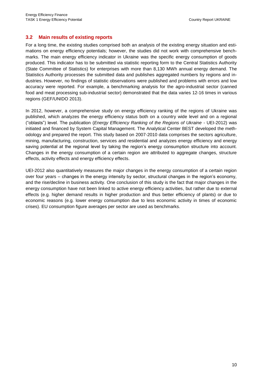#### **3.2 Main results of existing reports**

For a long time, the existing studies comprised both an analysis of the existing energy situation and estimations on energy efficiency potentials; however, the studies did not work with comprehensive benchmarks. The main energy efficiency indicator in Ukraine was the specific energy consumption of goods produced. This indicator has to be submitted via statistic reporting form to the Central Statistics Authority (State Committee of Statistics) for enterprises with more than 8,130 MWh annual energy demand. The Statistics Authority processes the submitted data and publishes aggregated numbers by regions and industries. However, no findings of statistic observations were published and problems with errors and low accuracy were reported. For example, a benchmarking analysis for the agro-industrial sector (canned food and meat processing sub-industrial sector) demonstrated that the data varies 12-16 times in various regions (GEF/UNIDO 2013).

In 2012, however, a comprehensive study on energy efficiency ranking of the regions of Ukraine was published, which analyzes the energy efficiency status both on a country wide level and on a regional ("oblasts") level. The publication (*Energy Efficiency Ranking of the Regions of Ukraine -* UEI-2012) was initiated and financed by System Capital Management. The Analytical Center BEST developed the methodology and prepared the report. This study based on 2007-2010 data comprises the sectors agriculture, mining, manufacturing, construction, services and residential and analyzes energy efficiency and energy saving potential at the regional level by taking the region's energy consumption structure into account. Changes in the energy consumption of a certain region are attributed to aggregate changes, structure effects, activity effects and energy efficiency effects.

UEI-2012 also quantitatively measures the major changes in the energy consumption of a certain region over four years – changes in the energy intensity by sector, structural changes in the region's economy, and the rise/decline in business activity. One conclusion of this study is the fact that major changes in the energy consumption have not been linked to active energy efficiency activities, but rather due to external effects (e.g. higher demand results in higher production and thus better efficiency of plants) or due to economic reasons (e.g. lower energy consumption due to less economic activity in times of economic crises). EU consumption figure averages per sector are used as benchmarks.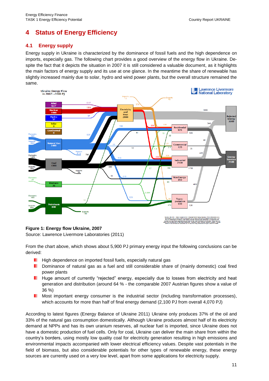### **4 Status of Energy Efficiency**

#### **4.1 Energy supply**

Energy supply in Ukraine is characterized by the dominance of fossil fuels and the high dependence on imports, especially gas. The following chart provides a good overview of the energy flow in Ukraine. Despite the fact that it depicts the situation in 2007 it is still considered a valuable document, as it highlights the main factors of energy supply and its use at one glance. In the meantime the share of renewable has slightly increased mainly due to solar, hydro and wind power plants, but the overall structure remained the same.



#### <span id="page-10-0"></span>**Figure 1: Energy flow Ukraine, 2007**

Source: Lawrence Livermore Laboratories (2011)

From the chart above, which shows about 5,900 PJ primary energy input the following conclusions can be derived:

- **H** High dependence on imported fossil fuels, especially natural gas
- **Dominance of natural gas as a fuel and still considerable share of (mainly domestic) coal fired** power plants
- **Huge amount of currently "rejected" energy, especially due to losses from electricity and heat** generation and distribution (around 64 % - the comparable 2007 Austrian figures show a value of 36 %)
- . Most important energy consumer is the industrial sector (including transformation processes), which accounts for more than half of final energy demand (2,100 PJ from overall 4,070 PJ)

According to latest figures (Energy Balance of Ukraine 2011) Ukraine only produces 37% of the oil and 33% of the natural gas consumption domestically. Although Ukraine produces almost half of its electricity demand at NPPs and has its own uranium reserves, all nuclear fuel is imported, since Ukraine does not have a domestic production of fuel cells. Only for coal, Ukraine can deliver the main share from within the country's borders, using mostly low quality coal for electricity generation resulting in high emissions and environmental impacts accompanied with lower electrical efficiency values. Despite vast potentials in the field of biomass, but also considerable potentials for other types of renewable energy, these energy sources are currently used on a very low level, apart from some applications for electricity supply.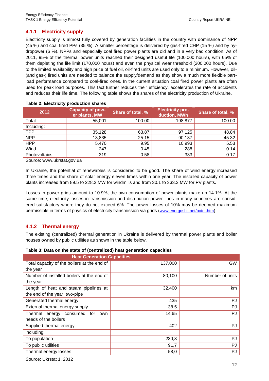#### **4.1.1 Electricity supply**

Electricity supply is almost fully covered by generation facilities in the country with dominance of NPP (45 %) and coal fired PPs (35 %). A smaller percentage is delivered by gas-fired CHP (15 %) and by hydropower (6 %). NPPs and especially coal fired power plants are old and in a very bad condition. As of 2011, 95% of the thermal power units reached their designed useful life (100,000 hours), with 65% of them depleting the life limit (170,000 hours) and even the physical wear threshold (200,000 hours). Due to the limited availability and high price of fuel oil, oil-fired units are used only to a minimum. However, oil- (and gas-) fired units are needed to balance the supply/demand as they show a much more flexible partload performance compared to coal-fired ones. In the current situation coal fired power plants are often used for peak load purposes. This fact further reduces their efficiency, accelerates the rate of accidents and reduces their life time. The following table shows the shares of the electricity production of Ukraine.

| 2012          | <b>Capacity of pow-</b><br>er plants, MW | Share of total, % | <b>Electricity pro-</b><br>duction, MWh | Share of total, % |
|---------------|------------------------------------------|-------------------|-----------------------------------------|-------------------|
| Total         | 55,001                                   | 100.00            | 198,877                                 | 100.00            |
| Including:    |                                          |                   |                                         |                   |
| <b>TPP</b>    | 35,128                                   | 63.87             | 97,125                                  | 48.84             |
| <b>NPP</b>    | 13,835                                   | 25.15             | 90,137                                  | 45.32             |
| <b>HPP</b>    | 5,470                                    | 9.95              | 10,993                                  | 5.53              |
| Wind          | 247                                      | 0.45              | 288                                     | 0.14              |
| Photovoltaics | 319                                      | 0.58              | 333                                     | 0.17              |
|               |                                          |                   |                                         |                   |

#### <span id="page-11-0"></span>**Table 2: Electricity production shares**

Source: [www.ukrstat.gov.ua](http://www.ukrstat.gov.ua/)

In Ukraine, the potential of renewables is considered to be good. The share of wind energy increased three times and the share of solar energy eleven times within one year. The installed capacity of power plants increased from 89.5 to 228.2 MW for windmills and from 30.1 to 333.3 MW for PV plants.

Losses in power grids amount to 10.9%, the own consumption of power plants make up 14.1%. At the same time, electricity losses in transmission and distribution power lines in many countries are considered satisfactory where they do not exceed 6%. The power losses of 10% may be deemed maximum permissible in terms of physics of electricity transmission via grids ([www.energosbit.net/poter.htm](file://MDAT-04-WI.allplan.local/Projekte/6145%20OeEB%20Energieeffizienz%20im%20Finanzsektor/Reports/2%20Submission/Verbesserte%20Berichte/Ukraine/www.energosbit.net/poter.htm))

#### **4.1.2 Thermal energy**

The existing (centralized) thermal generation in Ukraine is delivered by thermal power plants and boiler houses owned by public utilities as shown in the table below.

<span id="page-11-1"></span>

| Table 3: Data on the state of (centralized) heat generation capacities |  |  |  |  |
|------------------------------------------------------------------------|--|--|--|--|
|------------------------------------------------------------------------|--|--|--|--|

| <b>Heat Generation Capacities</b>           |         |                 |
|---------------------------------------------|---------|-----------------|
| Total capacity of the boilers at the end of | 137,000 | <b>GW</b>       |
| the year                                    |         |                 |
| Number of installed boilers at the end of   | 80,100  | Number of units |
| the year                                    |         |                 |
| Length of heat and steam pipelines at       | 32,400  | km              |
| the end of the year, two-pipe               |         |                 |
| Generated thermal energy                    | 435     | PJ              |
| External thermal energy supply              | 38.5    | PJ              |
| Thermal energy consumed for<br>own          | 14.65   | PJ              |
| needs of the boilers                        |         |                 |
| Supplied thermal energy                     | 402     | PJ              |
| including:                                  |         |                 |
| To population                               | 230,3   | PJ              |
| To public utilities                         | 91,7    | PJ              |
| Thermal energy losses                       | 58,0    | PJ              |

Source: Ukrstat 1, 2012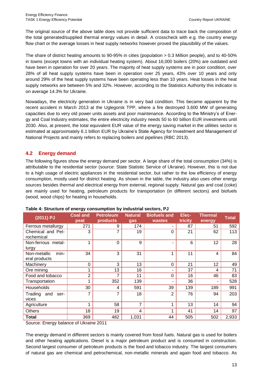The original source of the above table does not provide sufficient data to trace back the composition of the total generated/supplied thermal energy values in detail. A crosscheck with e.g. the country energy flow chart or the average losses in heat supply networks however proved the plausibility of the values.

The share of district heating amounts to 90-95% in cities (population > 0.3 Million people), and to 40-50% in towns (except towns with an individual heating system). About 16,000 boilers (20%) are outdated and have been in operation for over 20 years. The majority of heat supply systems are in poor condition, over 28% of all heat supply systems have been in operation over 25 years, 43% over 10 years and only around 29% of the heat supply systems have been operating less than 10 years. Heat losses in the heat supply networks are between 5% and 32%. However, according to the Statistics Authority this indicator is on average 14.3% for Ukraine.

Nowadays, the electricity generation in Ukraine is in very bad condition. This became apparent by the recent accident in March 2013 at the Uglegorsk TPP, where a fire destroyed 3,600 MW of generating capacities due to very old power units assets and poor maintenance. According to the Ministry's of Energy and Coal Industry estimates, the entire electricity industry needs 50 to 60 billion EUR investments until 2030. Also, at present, the total equivalent EUR value of the energy saving market in the utilities sector is estimated at approximately 6.1 billion EUR by Ukraine's State Agency for Investment and Management of National Projects and mainly refers to replacing boilers and pipelines (RBC 2013).

#### **4.2 Energy demand**

The following figures show the energy demand per sector. A large share of the total consumption (34%) is attributable to the residential sector (source: State Statistic Service of Ukraine). However, this is not due to a high usage of electric appliances in the residential sector, but rather to the low efficiency of energy consumption, mostly used for district heating. As shown in the table, the industry also uses other energy sources besides thermal and electrical energy from external, regional supply. Natural gas and coal (coke) are mainly used for heating, petroleum products for transportation (in different sectors) and biofuels (wood, wood chips) for heating in households.

| (2011) PJ                             | <b>Coal and</b><br>peat | <b>Petroleum</b><br>products | <b>Natural</b><br>gas | <b>Biofuels and</b><br>wastes | Elec-<br>tricity | <b>Thermal</b><br>energy | Total |
|---------------------------------------|-------------------------|------------------------------|-----------------------|-------------------------------|------------------|--------------------------|-------|
| Ferrous metallurgy                    | 271                     | 9                            | 174                   |                               | 87               | 51                       | 592   |
| Chemical and Pet-<br>rochemical       | 3                       | 7                            | 19                    | $\Omega$                      | 21               | 62                       | 113   |
| Non-ferrous metal-<br>lurgy           | 1                       | $\mathbf 0$                  | 9                     |                               | 6                | 12                       | 28    |
| min-<br>Non-metallic<br>eral products | 34                      | 3                            | 31                    | 1                             | 11               | 4                        | 84    |
| Machinery                             | $\mathbf 0$             | 3                            | 13                    | 0                             | 21               | 12                       | 49    |
| Ore mining                            | 1                       | 13                           | 16                    |                               | 37               | 4                        | 71    |
| Food and tobacco                      | $\overline{2}$          | 7                            | 11                    | $\Omega$                      | 16               | 46                       | 83    |
| Transportation                        | 1                       | 352                          | 139                   |                               | 36               | ٠                        | 528   |
| Households                            | 30                      | 4                            | 591                   | 39                            | 139              | 189                      | 991   |
| Trading<br>and<br>ser-<br>vices       | 7                       | 7                            | 18                    | 2                             | 76               | 94                       | 203   |
| Agriculture                           | 1                       | 58                           | 7                     | 1                             | 13               | 14                       | 94    |
| <b>Others</b>                         | 18                      | 19                           | 4                     | 1                             | 41               | 14                       | 97    |
| <b>Total</b>                          | 369                     | 482                          | 1,031                 | 44                            | 505              | 502                      | 2,933 |

#### <span id="page-12-0"></span>**Table 4: Structure of energy consumption by industrial sectors, PJ**

Source: Energy balance of Ukraine 2011

The energy demand in different sectors is mainly covered from fossil fuels. Natural gas is used for boilers and other heating applications. Diesel is a major petroleum product and is consumed in construction. Second largest consumer of petroleum products is the food and tobacco industry. The largest consumers of natural gas are chemical and petrochemical, non-metallic minerals and again food and tobacco. As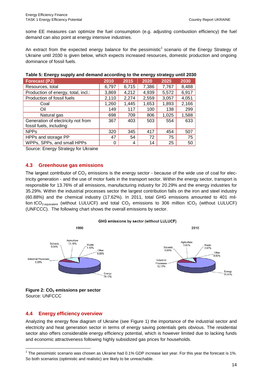some EE measures can optimize the fuel consumption (e.g. adjusting combustion efficiency) the fuel demand can also point at energy intensive industries.

An extract from the expected energy balance for the pessimistic<sup>1</sup> scenario of the Energy Strategy of Ukraine until 2030 is given below, which expects increased resources, domestic production and ongoing dominance of fossil fuels.

| <b>Forecast (PJ)</b>                                           | 2010  | 2015  | 2020  | 2025  | 2030  |
|----------------------------------------------------------------|-------|-------|-------|-------|-------|
| Resources, total                                               | 6,797 | 6,715 | 7,386 | 7,767 | 8,488 |
| Production of energy, total, incl.:                            | 3,869 | 4,212 | 4,939 | 5,572 | 6,917 |
| Production of fossil fuels                                     | 2,110 | 2,274 | 2,559 | 3,057 | 4,051 |
| Coal                                                           | 1,260 | 1,445 | 1,653 | 1,893 | 2,166 |
| Oil                                                            | 149   | 117   | 100   | 138   | 299   |
| Natural gas                                                    | 698   | 709   | 806   | 1,025 | 1,588 |
| Generation of electricity not from<br>fossil fuels, including: | 367   | 403   | 503   | 554   | 633   |
| <b>NPPs</b>                                                    | 320   | 345   | 417   | 454   | 507   |
| HPPs and storage PP                                            | 47    | 54    | 72    | 75    | 75    |
| WPPs, SPPs, and small HPPs                                     | 0     | 4     | 14    | 25    | 50    |

#### <span id="page-13-1"></span>**Table 5: Energy supply and demand according to the energy strategy until 2030**

Source: Energy Strategy for Ukraine

#### **4.3 Greenhouse gas emissions**

The largest contributor of  $CO<sub>2</sub>$  emissions is the energy sector - because of the wide use of coal for electricity generation - and the use of motor fuels in the transport sector. Within the energy sector, transport is responsible for 13.76% of all emissions, manufacturing industry for 20.29% and the energy industries for 35.29%. Within the industrial processes sector the largest contribution falls on the iron and steel industry (60.88%) and the chemical industry (17.62%). In 2011, total GHG emissions amounted to 401 million tCO<sub>2-equivalent</sub> (without LULUCF) and total CO<sub>2</sub> emissions to 306 million tCO<sub>2</sub> (without LULUCF) (UNFCCC). The following chart shows the overall emissions by sector.





<span id="page-13-0"></span>**Figure 2: CO<sup>2</sup> emissions per sector** Source: UNFCCC

#### **4.4 Energy efficiency overview**

l

Analyzing the energy flow diagram of Ukraine (see [Figure 1\)](#page-10-0) the importance of the industrial sector and electricity and heat generation sector in terms of energy saving potentials gets obvious. The residential sector also offers considerable energy efficiency potential, which is however limited due to lacking funds and economic attractiveness following highly subsidized gas prices for households.

<sup>&</sup>lt;sup>1</sup> The pessimistic scenario was chosen as Ukraine had 0.1% GDP increase last year. For this year the forecast is 1%. So both scenarios (optimistic and realistic) are likely to be unreachable.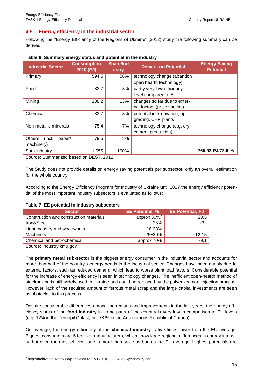#### **4.5 Energy efficiency in the industrial sector**

Following the "Energy Efficiency of the Regions of Ukraine" (2012) study the following summary can be derived.

| <b>Industrial Sector</b>          | <b>Consumption</b><br>2010 (PJ) | <b>Share/Ind</b><br>ustry | <b>Remark on Potential</b>   | <b>Energy Saving</b><br><b>Potential</b> |
|-----------------------------------|---------------------------------|---------------------------|------------------------------|------------------------------------------|
| Primary                           | 594.5                           | 56%                       | technology change (abandon   |                                          |
|                                   |                                 |                           | open hearth technology)      |                                          |
| Food                              | 83.7                            | 8%                        | partly very low efficiency   |                                          |
|                                   |                                 |                           | level compared to EU         |                                          |
| Mining                            | 138.2                           | 13%                       | changes so far due to exter- |                                          |
|                                   |                                 |                           | nal factors (price shocks)   |                                          |
| Chemical                          | 83.7                            | 8%                        | potential in renovation, up- |                                          |
|                                   |                                 |                           | grading, CHP plants          |                                          |
| Non-metallic minerals             | 75.4                            | 7%                        | technology change (e.g. dry  |                                          |
|                                   |                                 |                           | cement production)           |                                          |
| <b>Others</b><br>(incl.<br>paper/ | 79.5                            | 8%                        |                              |                                          |
| machinery)                        |                                 |                           |                              |                                          |
| Sum industry                      | 1,055                           | 100%                      |                              | 765.93 PJ/72.6 %                         |

#### <span id="page-14-0"></span>**Table 6: Summary energy status and potential in the industry**

Source: Summarized based on BEST, 2012

The Study does not provide details on energy saving potentials per subsector, only an overall estimation for the whole country.

According to the Energy Efficiency Program for Industry of Ukraine until 2017 the energy efficiency potential of the most important industry subsectors is evaluated as follows:

#### <span id="page-14-1"></span>**Table 7: EE potential in industry subsectors**

| <b>Sector</b>                           | <b>EE Potential, %</b> | <b>EE Potential, PJ</b> |
|-----------------------------------------|------------------------|-------------------------|
| Construction and construction materials | approx $50\%^2$        | 20,5                    |
| Iron&Steel                              | 35%                    | 232                     |
| Light industry and woodworks            | 18-23%                 |                         |
| Machinery                               | $25 - 30%$             | $12 - 15$               |
| Chemical and petrochemical              | approx 70%             | 79.1                    |

Source: Industry.kmu.gov

l

The **primary metal sub-sector** is the biggest energy consumer in the industrial sector and accounts for more than half of the country's energy needs in the industrial sector. Changes have been mainly due to external factors, such as reduced demand, which lead to worse plant load factors. Considerable potential for the increase of energy efficiency is seen in technology changes. The inefficient open-hearth method of steelmaking is still widely used in Ukraine and could be replaced by the pulverized coal injection process. However, lack of the required amount of ferrous metal scrap and the large capital investments are seen as obstacles to this process.

Despite considerable differences among the regions and improvements in the last years, the energy efficiency status of the **food industry** in some parts of the country is very low in comparison to EU levels (e.g. 12% in the Ternopil Oblast, but 78 % in the Autonomous Republic of Crimea).

On average, the energy efficiency of the **chemical industry** is five times lower than the EU average. Biggest consumers are 6 fertilizer manufacturers, which show large regional differences in energy intensity, but even the most efficient one is more than twice as bad as the EU average. Highest potentials are

<sup>&</sup>lt;sup>2</sup> http://archive.nbuv.gov.ua/portal/natural/PZE/2010\_23/04ua\_Symborskiy.pdf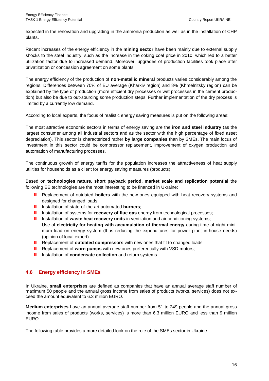expected in the renovation and upgrading in the ammonia production as well as in the installation of CHP plants.

Recent increases of the energy efficiency in the **mining sector** have been mainly due to external supply shocks to the steel industry, such as the increase in the coking coal price in 2010, which led to a better utilization factor due to increased demand. Moreover, upgrades of production facilities took place after privatization or concession agreement on some plants.

The energy efficiency of the production of **non-metallic mineral** products varies considerably among the regions. Differences between 70% of EU average (Kharkiv region) and 8% (Khmelnitsky region) can be explained by the type of production (more efficient dry processes or wet processes in the cement production) but also be due to out-sourcing some production steps. Further implementation of the dry process is limited by a currently low demand.

According to local experts, the focus of realistic energy saving measures is put on the following areas:

The most attractive economic sectors in terms of energy saving are the **iron and steel industry** (as the largest consumer among all industrial sectors and as the sector with the high percentage of fixed asset depreciation). This sector is characterized rather **by large companies** than by SMEs. The main focus of investment in this sector could be compressor replacement, improvement of oxygen production and automation of manufacturing processes.

The continuous growth of energy tariffs for the population increases the attractiveness of heat supply utilities for households as a client for energy saving measures (products).

Based on **technologies nature, short payback period, market scale and replication potential** the following EE technologies are the most interesting to be financed in Ukraine:

- **Replacement of outdated boilers** with the new ones equipped with heat recovery systems and designed for changed loads:
- **Installation of state-of-the-art automated burners:**
- **Installation of systems for recovery of flue gas** energy from technological processes;
- . Installation of **waste heat recovery units** in ventilation and air conditioning systems; Use of **electricity for heating with accumulation of thermal energy** during time of night minimum load on energy system (thus reducing the expenditures for power plant in-house needs) (opinion of local expert)
- **Replacement of outdated compressors** with new ones that fit to changed loads;
- **Replacement of worn pumps** with new ones preferentially with VSD motors;
- **Installation of condensate collection** and return systems.

#### **4.6 Energy efficiency in SMEs**

In Ukraine, **small enterprises** are defined as companies that have an annual average staff number of maximum 50 people and the annual gross income from sales of products (works, services) does not exceed the amount equivalent to 6.3 million EURO.

**Medium enterprises** have an annual average staff number from 51 to 249 people and the annual gross income from sales of products (works, services) is more than 6.3 million EURO and less than 9 million EURO.

The following table provides a more detailed look on the role of the SMEs sector in Ukraine.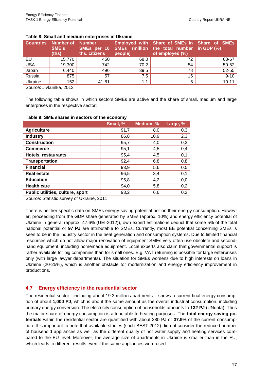|            | <b>Countries Number of Number</b><br>SME's<br>(this) | ths. citizens | people) | Employed with Share of SMEs in Share of SMEs<br>SMEs per 10 SMEs (million the total number in GDP (%)<br>of employed (%) |           |
|------------|------------------------------------------------------|---------------|---------|--------------------------------------------------------------------------------------------------------------------------|-----------|
| EU         | 15,770                                               | 450           | 68.0    | 72                                                                                                                       | 63-67     |
| <b>USA</b> | 19,300                                               | 742           | 70.2    | 54                                                                                                                       | 50-52     |
| Japan      | 6,440                                                | 496           | 39.5    | 78                                                                                                                       | 52-55     |
| Russia     | 875                                                  | 57            | 7.5     | 15                                                                                                                       | $9 - 10$  |
| Ukraine    | 152                                                  | 41-81         | 1.1     | 5                                                                                                                        | $10 - 11$ |
|            | <br>----                                             |               |         |                                                                                                                          |           |

#### <span id="page-16-0"></span>**Table 8: Small and medium enterprises in Ukraine**

Source: Jivkurilka, 2013

The following table shows in which sectors SMEs are active and the share of small, medium and large enterprises in the respective sector:

|                                  | Small, % | Medium, % | Large, % |
|----------------------------------|----------|-----------|----------|
|                                  |          |           |          |
| <b>Agriculture</b>               | 91,7     | 8,0       | 0,3      |
| <b>Industry</b>                  | 86,8     | 10,9      | 2,3      |
| <b>Construction</b>              | 95,7     | 4,0       | 0,3      |
| <b>Commerce</b>                  | 95,1     | 4,5       | 0,4      |
| <b>Hotels, restaurants</b>       | 95,4     | 4,5       | 0,1      |
| <b>Transportation</b>            | 92,4     | 6,8       | 0,8      |
| <b>Financial</b>                 | 93,9     | 5,6       | 0,5      |
| <b>Real estate</b>               | 96,5     | 3,4       | 0,1      |
| <b>Education</b>                 | 95,8     | 4,2       | 0,0      |
| <b>Health care</b>               | 94,0     | 5,8       | 0,2      |
| Public utilities, culture, sport | 93,2     | 6,6       | 0,2      |

#### <span id="page-16-1"></span>**Table 9: SME shares in sectors of the economy**

Source: Statistic survey of Ukraine, 2011

There is neither specific data on SMEs energy-saving potential nor on their energy consumption. However, proceeding from the GDP share generated by SMEs (approx. 10%) and energy efficiency potential of Ukraine in general (approx. 47.6% (UEI-2012)), own expert estimations deduct that some 5% of the total national potential or **97 PJ** are attributable to SMEs. Currently, most EE potential concerning SMEs is seen to be in the industry sector in the heat generation and consumption systems. Due to limited financial resources which do not allow major renovation of equipment SMEs very often use obsolete and secondhand equipment, including homemade equipment. Local experts also claim that governmental support is rather available for big companies than for small ones. E.g. VAT returning is possible for large enterprises only (with large lawyer departments). The situation for SMEs worsens due to high interests on loans in Ukraine (20-25%), which is another obstacle for modernization and energy efficiency improvement in productions.

#### **4.7 Energy efficiency in the residential sector**

The residential sector - including about 19.3 million apartments – shows a current final energy consumption of about **1,000 PJ**, which is about the same amount as the overall industrial consumption, including primary energy conversion. The electricity consumption of households amounts to **132 PJ** (UNdata). Thus the major share of energy consumption is attributable to heating purposes. The **total energy saving potentials** within the residential sector are quantified with about 380 PJ or **37.9%** of the current consumption. It is important to note that available studies (such BEST 2012) did not consider the reduced number of household appliances as well as the different quality of hot water supply and heating services compared to the EU level. Moreover, the average size of apartments in Ukraine is smaller than in the EU, which leads to different results even if the same appliances were used.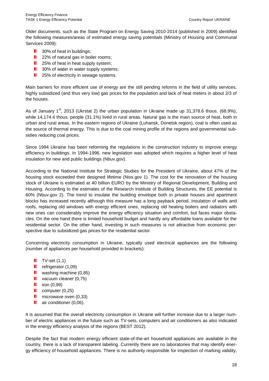Older documents, such as the State Program on Energy Saving 2010-2014 (published in 2009) identified the following measures/areas of estimated energy saving potentials (Ministry of Housing and Communal Services 2009):

- **1** 30% of heat in buildings;
- **22% of natural gas in boiler rooms;**
- **25% of heat in heat supply system;**
- **1** 30% of water in water supply systems;
- **25% of electricity in sewage systems.**

Main barriers for more efficient use of energy are the still pending reforms in the field of utility services, highly subsidized (and thus very low) gas prices for the population and lack of heat meters in about 2/3 of the houses.

As of January 1<sup>st</sup>, 2013 (Ukrstat 2) the urban population in Ukraine made up 31,378.6 thous. (68.9%), while 14,174.4 thous. people (31.1%) lived in rural areas. Natural gas is the main source of heat, both in urban and rural areas. In the eastern regions of Ukraine (Luhansk, Donetsk region), coal is often used as the source of thermal energy. This is due to the coal mining profile of the regions and governmental subsidies reducing coal prices.

Since 1994 Ukraine has been reforming the regulations in the construction industry to improve energy efficiency in buildings. In 1994-1996, new legislation was adopted which requires a higher level of heat insulation for new and public buildings (Nbuv.gov).

According to the National Institute for Strategic Studies for the President of Ukraine, about 47% of the housing stock exceeded their designed lifetime (Niss.gov 1). The cost for the renovation of the housing stock of Ukraine is estimated at 40 billion EURO by the Ministry of Regional Development, Building and Housing. According to the estimates of the Research Institute of Building Structures, the EE potential is 60% (Nbuv.gov 2). The trend to insulate the building envelope both in private houses and apartment blocks has increased recently although this measure has a long payback period. Insulation of walls and roofs, replacing old windows with energy efficient ones, replacing old heating boilers and radiators with new ones can considerably improve the energy efficiency situation and comfort, but faces major obstacles. On the one hand there is limited household budget and hardly any affordable loans available for the residential sector. On the other hand, investing in such measures is not attractive from economic perspective due to subsidized gas prices for the residential sector.

Concerning electricity consumption in Ukraine, typically used electrical appliances are the following (number of appliances per household provided in brackets):

- $\blacksquare$  TV-set  $(1,1)$
- **refrigerator**  $(1,09)$
- **u** washing machine  $(0,85)$
- **vacuum cleaner (0,75)**
- $\blacksquare$  iron (0,99)
- $\Box$  computer (0.25)
- $\blacksquare$  microwave oven (0,33)
- **air conditioner (0,06).**

It is assumed that the overall electricity consumption in Ukraine will further increase due to a larger number of electric appliances in the future such as TV-sets, computers and air conditioners as also indicated in the energy efficiency analysis of the regions (BEST 2012).

Despite the fact that modern energy efficient state-of-the-art household appliances are available in the country, there is a lack of transparent labeling. Currently there are no laboratories that may identify energy efficiency of household appliances. There is no authority responsible for inspection of marking validity,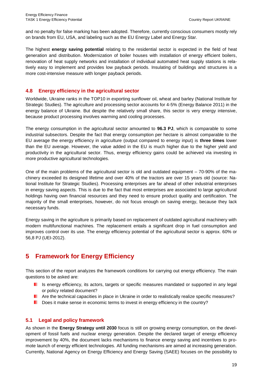and no penalty for false marking has been adopted. Therefore, currently conscious consumers mostly rely on brands from EU, USA, and labeling such as the EU Energy Label and Energy Star.

The highest **energy saving potential** relating to the residential sector is expected in the field of heat generation and distribution. Modernization of boiler houses with installation of energy efficient boilers, renovation of heat supply networks and installation of individual automated heat supply stations is relatively easy to implement and provides low payback periods. Insulating of buildings and structures is a more cost-intensive measure with longer payback periods.

#### **4.8 Energy efficiency in the agricultural sector**

Worldwide, Ukraine ranks in the TOP10 in exporting sunflower oil, wheat and barley (National Institute for Strategic Studies). The agriculture and processing sector accounts for 4-5% (Energy Balance 2011) in the energy balance of Ukraine. But despite the relatively small share, this sector is very energy intensive, because product processing involves warming and cooling processes.

The energy consumption in the agricultural sector amounted to **96.3 PJ**, which is comparable to some industrial subsectors. Despite the fact that energy consumption per hectare is almost comparable to the EU average the energy efficiency in agriculture (output compared to energy input) is **three times** lower than the EU average. However, the value added in the EU is much higher due to the higher yield and productivity in the agricultural sector. Thus, energy efficiency gains could be achieved via investing in more productive agricultural technologies.

One of the main problems of the agricultural sector is old and outdated equipment – 70-90% of the machinery exceeded its designed lifetime and over 40% of the tractors are over 15 years old (source: National Institute for Strategic Studies). Processing enterprises are far ahead of other industrial enterprises in energy saving aspects. This is due to the fact that most enterprises are associated to large agricultural holdings having own financial resources and they need to ensure product quality and certification. The majority of the small enterprises, however, do not focus enough on saving energy, because they lack necessary funds.

Energy saving in the agriculture is primarily based on replacement of outdated agricultural machinery with modern multifunctional machines. The replacement entails a significant drop in fuel consumption and improves control over its use. The energy efficiency potential of the agricultural sector is approx. 60% or 56,8 PJ (UEI-2012).

#### **5 Framework for Energy Efficiency**

This section of the report analyzes the framework conditions for carrying out energy efficiency. The main questions to be asked are:

- Is energy efficiency, its actors, targets or specific measures mandated or supported in any legal . or policy related document?
- **Are the technical capacities in place in Ukraine in order to realistically realize specific measures?**
- Does it make sense in economic terms to invest in energy efficiency in the country?

#### **5.1 Legal and policy framework**

As shown in the **Energy Strategy until 2030** focus is still on growing energy consumption, on the development of fossil fuels and nuclear energy generation. Despite the declared target of energy efficiency improvement by 40%, the document lacks mechanisms to finance energy saving and incentives to promote launch of energy efficient technologies. All funding mechanisms are aimed at increasing generation. Currently, National Agency on Energy Efficiency and Energy Saving (SAEE) focuses on the possibility to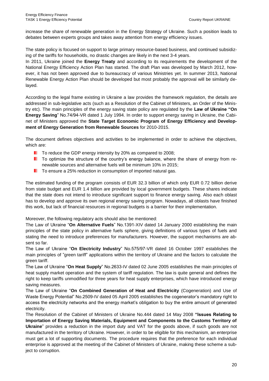increase the share of renewable generation in the Energy Strategy of Ukraine. Such a position leads to debates between experts groups and takes away attention from energy efficiency issues.

The state policy is focused on support to large primary resource-based business, and continued subsidizing of the tariffs for households, no drastic changes are likely in the next 3-4 years.

In 2011, Ukraine joined the **Energy Treaty** and according to its requirements the development of the National Energy Efficiency Action Plan has started. The draft Plan was developed by March 2012, however, it has not been approved due to bureaucracy of various Ministries yet. In summer 2013, National Renewable Energy Action Plan should be developed but most probably the approval will be similarly delayed.

According to the legal frame existing in Ukraine a law provides the framework regulation, the details are addressed in sub-legislative acts (such as a Resolution of the Cabinet of Ministers, an Order of the Ministry etc). The main principles of the energy saving state policy are regulated by the **Law of Ukraine "On Energy Saving**" No.74/94-VR dated 1 July 1994. In order to support energy saving in Ukraine, the Cabinet of Ministers approved the **State Target Economic Program of Energy Efficiency and Development of Energy Generation from Renewable Sources** for 2010-2015.

The document defines objectives and activities to be implemented in order to achieve the objectives, which are:

- To reduce the GDP energy intensity by 20% as compared to 2008;
- **T** To optimize the structure of the country's energy balance, where the share of energy from renewable sources and alternative fuels will be minimum 10% in 2015;
- **T** To ensure a 25% reduction in consumption of imported natural gas.

The estimated funding of the program consists of EUR 32.3 billion of which only EUR 0.72 billion derive from state budget and EUR 1.4 billion are provided by local government budgets. These shares indicate that the state does not intend to introduce significant support to finance energy saving. Also each oblast has to develop and approve its own regional energy saving program. Nowadays, all oblasts have finished this work, but lack of financial resources in regional budgets is a barrier for their implementation.

Moreover, the following regulatory acts should also be mentioned:

The Law of Ukraine "**On Alternative Fuels**" No.1391-XIV dated 14 January 2000 establishing the main principles of the state policy in alternative fuels sphere, giving definitions of various types of fuels and stating the need to introduce preferences for manufacturers. However, the support mechanisms are absent so far.

The Law of Ukraine "**On Electricity Industry**" No.575/97-VR dated 16 October 1997 establishes the main principles of "green tariff" applications within the territory of Ukraine and the factors to calculate the green tariff.

The Law of Ukraine "**On Heat Supply**" No.2633-IV dated 02 June 2005 establishes the main principles of heat supply market operation and the system of tariff regulation. The law is quite general and defines the right to keep tariffs unmodified for three years for heat supply enterprises, which have introduced energy saving measures.

The Law of Ukraine "**On Combined Generation of Heat and Electricity** (Cogeneration) and Use of Waste Energy Potential" No.2509-IV dated 05 April 2005 establishes the cogenerator's mandatory right to access the electricity networks and the energy market's obligation to buy the entire amount of generated electricity.

The Resolution of the Cabinet of Ministers of Ukraine No.444 dated 14 May 2008 **"Issues Relating to Importation of Energy Saving Materials, Equipment and Components to the Customs Territory of Ukraine**" provides a reduction in the import duty and VAT for the goods above, if such goods are not manufactured in the territory of Ukraine. However, in order to be eligible for this mechanism, an enterprise must get a lot of supporting documents. The procedure requires that the preference for each individual enterprise is approved at the meeting of the Cabinet of Ministers of Ukraine, making these scheme a subject to corruption.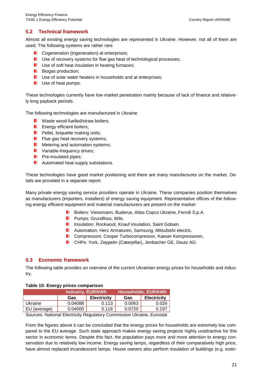#### **5.2 Technical framework**

Almost all existing energy saving technologies are represented in Ukraine. However, not all of them are used. The following systems are rather rare:

- Cogeneration (trigeneration) at enterprises;
- **U** Use of recovery systems for flue gas heat of technological processes;
- **USE** Use of soft heat insulation in heating furnaces;
- **Biogas production;**
- **USE** Use of solar water heaters in households and at enterprises;
- **Use of heat pumps.**

These technologies currently have low market penetration mainly because of lack of finance and relatively long payback periods.

The following technologies are manufactured in Ukraine:

- **Now Waste wood-fuelled/straw boilers;**
- **E** Energy efficient boilers:
- **Pellet, briquette making units;**
- **Figure 1** Flue gas heat recovery systems;
- **Metering and automation systems;**
- **November 19 Yariable-frequency drives;**
- **Pre-insulated pipes;**
- **Automated heat supply substations.**

These technologies have good market positioning and there are many manufactures on the market. Details are provided in a separate report.

Many private energy saving service providers operate in Ukraine. These companies position themselves as manufacturers (importers, installers) of energy saving equipment. Representative offices of the following energy efficient equipment and material manufacturers are present on the market:

- Boilers: Viessmann, Buderus, Atlas Copco Ukraine, Ferroli S.p.A. . .
- **Pumps: Grundfoss, Wilo.**
- **ID** Insulation: Rockwool, Knauf insulation, Saint Gobain.
- **L** Automation: Herz Armaturen, Samsung, Mitsubishi electric.
- **L** Compressors: Cooper Turbocompressor, Kaeser Kompressoren,
- **CHPs: York, Zeppelin (Caterpillar), Jenbacher GE, Deutz AG.**

#### **5.3 Economic framework**

The following table provides an overview of the current Ukrainian energy prices for households and industry.

#### <span id="page-20-0"></span>**Table 10: Energy prices comparison**

|              | Industry, EUR/kWh |                    | Households, EUR/kWh |                    |
|--------------|-------------------|--------------------|---------------------|--------------------|
|              | Gas               | <b>Electricity</b> | Gas                 | <b>Electricity</b> |
| Ukraine      | 0.04088           | 0.113              | 0.0063              | 0.026              |
| EU (average) | 0.04000           | 0.118              | 0.0720              | 0.197              |

Sources: National Electricity Regulatory Commission Ukraine, Eurostat

From the figures above it can be concluded that the energy prices for households are extremely low compared to the EU average. Such state approach makes energy saving projects highly unattractive for this sector in economic terms. Despite this fact, the population pays more and more attention to energy conservation due to relatively low income. Energy saving lamps, regardless of their comparatively high price, have almost replaced incandescent lamps. House owners also perform insulation of buildings (e.g. exter-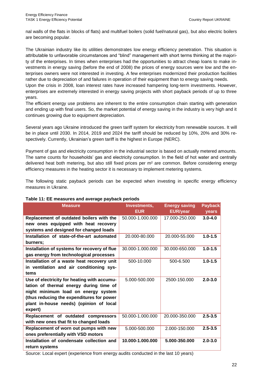nal walls of the flats in blocks of flats) and multifuel boilers (solid fuel/natural gas), but also electric boilers are becoming popular.

The Ukrainian industry like its utilities demonstrates low energy efficiency penetration. This situation is attributable to unfavorable circumstances and "blind" management with short terms thinking at the majority of the enterprises. In times when enterprises had the opportunities to attract cheap loans to make investments in energy saving (before the end of 2008) the prices of energy sources were low and the enterprises owners were not interested in investing. A few enterprises modernized their production facilities rather due to depreciation of and failures in operation of their equipment than to energy saving needs.

Upon the crisis in 2008, loan interest rates have increased hampering long-term investments. However, enterprises are extremely interested in energy saving projects with short payback periods of up to three years.

The efficient energy use problems are inherent to the entire consumption chain starting with generation and ending up with final users. So, the market potential of energy saving in the industry is very high and it continues growing due to equipment depreciation.

Several years ago Ukraine introduced the green tariff system for electricity from renewable sources. It will be in place until 2030. In 2014, 2019 and 2024 the tariff should be reduced by 10%, 20% and 30% respectively. Currently, Ukrainian's green tariff is the highest in Europe (NERC).

Payment of gas and electricity consumption in the industrial sector is based on actually metered amounts. The same counts for households' gas and electricity consumption. In the field of hot water and centrally delivered heat both metering, but also still fixed prices per m² are common. Before considering energy efficiency measures in the heating sector it is necessary to implement metering systems.

The following static payback periods can be expected when investing in specific energy efficiency measures in Ukraine.

| <b>Measure</b>                               | Investments,<br><b>EUR</b> | <b>Energy saving</b><br><b>EUR/year</b> | Payback,<br>years |
|----------------------------------------------|----------------------------|-----------------------------------------|-------------------|
| Replacement of outdated boilers with the     | 50.000-1.000.000           | 17.000-250.000                          | $3.0 - 4.0$       |
| new ones equipped with heat recovery         |                            |                                         |                   |
| systems and designed for changed loads       |                            |                                         |                   |
| Installation of state-of-the-art automated   | 20.000-80.000              | 20.000-55.000                           | $1.0 - 1.5$       |
| burners:                                     |                            |                                         |                   |
| Installation of systems for recovery of flue | 30.000-1.000.000           | 30.000-650.000                          | $1.0 - 1.5$       |
| gas energy from technological processes      |                            |                                         |                   |
| Installation of a waste heat recovery unit   | 500-10.000                 | 500-6.500                               | $1.0 - 1.5$       |
| in ventilation and air conditioning sys-     |                            |                                         |                   |
| tems                                         |                            |                                         |                   |
| Use of electricity for heating with accumu-  | 5.000-500.000              | 2500-150.000                            | $2.0 - 3.0$       |
| lation of thermal energy during time of      |                            |                                         |                   |
| night minimum load on energy system          |                            |                                         |                   |
| (thus reducing the expenditures for power    |                            |                                         |                   |
| plant in-house needs) (opinion of local      |                            |                                         |                   |
| expert)                                      |                            |                                         |                   |
| Replacement of outdated compressors          | 50.000-1.000.000           | 20.000-350.000                          | $2.5 - 3.5$       |
| with new ones that fit to changed loads      |                            |                                         |                   |
| Replacement of worn out pumps with new       | 5.000-500.000              | 2.000-150.000                           | $2.5 - 3.5$       |
| ones preferentially with VSD motors          |                            |                                         |                   |
| Installation of condensate collection and    | 10.000-1.000.000           | 5.000-350.000                           | $2.0 - 3.0$       |
| return systems                               |                            |                                         |                   |

#### <span id="page-21-0"></span>**Table 11: EE measures and average payback periods**

Source: Local expert (experience from energy audits conducted in the last 10 years)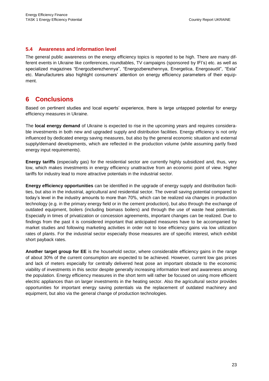#### **5.4 Awareness and information level**

The general public awareness on the energy efficiency topics is reported to be high. There are many different events in Ukraine like conferences, roundtables, TV campaigns (sponsored by IFI's) etc. as well as specialized magazines "Energozberezhennya", "Energozberezhennya, Energetica, Energoaudit", "Esta" etc. Manufacturers also highlight consumers' attention on energy efficiency parameters of their equipment.

#### **6 Conclusions**

Based on pertinent studies and local experts' experience, there is large untapped potential for energy efficiency measures in Ukraine.

The **local energy demand** of Ukraine is expected to rise in the upcoming years and requires considerable investments in both new and upgraded supply and distribution facilities. Energy efficiency is not only influenced by dedicated energy saving measures, but also by the general economic situation and external supply/demand developments, which are reflected in the production volume (while assuming partly fixed energy input requirements).

**Energy tariffs** (especially gas) for the residential sector are currently highly subsidized and, thus, very low, which makes investments in energy efficiency unattractive from an economic point of view. Higher tariffs for industry lead to more attractive potentials in the industrial sector.

**Energy efficiency opportunities** can be identified in the upgrade of energy supply and distribution facilities, but also in the industrial, agricultural and residential sector. The overall saving potential compared to today's level in the industry amounts to more than 70%, which can be realized via changes in production technology (e.g. in the primary energy field or in the cement production), but also through the exchange of outdated equipment, boilers (including biomass boilers) and through the use of waste heat potentials. Especially in times of privatization or concession agreements, important changes can be realized. Due to findings from the past it is considered important that anticipated measures have to be accompanied by market studies and following marketing activities in order not to lose efficiency gains via low utilization rates of plants. For the industrial sector especially those measures are of specific interest, which exhibit short payback rates.

**Another target group for EE** is the household sector, where considerable efficiency gains in the range of about 30% of the current consumption are expected to be achieved. However, current low gas prices and lack of meters especially for centrally delivered heat pose an important obstacle to the economic viability of investments in this sector despite generally increasing information level and awareness among the population. Energy efficiency measures in the short term will rather be focused on using more efficient electric appliances than on larger investments in the heating sector. Also the agricultural sector provides opportunities for important energy saving potentials via the replacement of outdated machinery and equipment, but also via the general change of production technologies.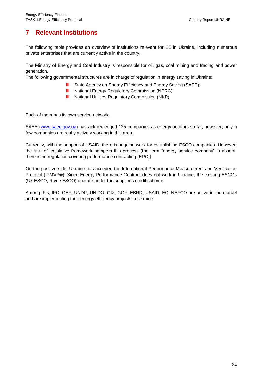#### **7 Relevant Institutions**

The following table provides an overview of institutions relevant for EE in Ukraine, including numerous private enterprises that are currently active in the country.

The Ministry of Energy and Coal Industry is responsible for oil, gas, coal mining and trading and power generation.

The following governmental structures are in charge of regulation in energy saving in Ukraine:

- . State Agency on Energy Efficiency and Energy Saving (SAEE);
- **National Energy Regulatory Commission (NERC);**
- **National Utilities Regulatory Commission (NKP).**

Each of them has its own service network.

SAEE [\(www.saee.gov.ua\)](http://www.saee.gov.ua/) has acknowledged 125 companies as energy auditors so far, however, only a few companies are really actively working in this area.

Currently, with the support of USAID, there is ongoing work for establishing ESCO companies. However, the lack of legislative framework hampers this process (the term "energy service company" is absent, there is no regulation covering performance contracting (EPC)).

On the positive side, Ukraine has acceded the International Performance Measurement and Verification Protocol (IPMVP®). Since Energy Performance Contract does not work in Ukraine, the existing ESCOs (UkrESCO, Rivne ESCO) operate under the supplier's credit scheme.

Among IFIs, IFC, GEF, UNDP, UNIDO, GIZ, GGF, EBRD, USAID, EC, NEFCO are active in the market and are implementing their energy efficiency projects in Ukraine.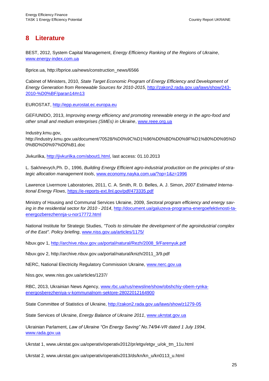#### **8 Literature**

BEST, 2012, System Capital Management, *Energy Efficiency Ranking of the Regions of Ukraine*, [www.energy-index.com.ua](http://www.energy-index.com.ua/)

Bprice.ua, http://bprice.ua/news/construction\_news/6566

Cabinet of Ministers, 2010, *State Target Economic Program of Energy Efficiency and Development of Energy Generation from Renewable Sources for 2010-2015*, [http://zakon2.rada.gov.ua/laws/show/243-](http://zakon2.rada.gov.ua/laws/show/243-2010-%D0%BF/paran14#n13) [2010-%D0%BF/paran14#n13](http://zakon2.rada.gov.ua/laws/show/243-2010-%D0%BF/paran14#n13)

EUROSTAT, [http://epp.eurostat.ec.europa.eu](http://epp.eurostat.ec.europa.eu/)

GEF/UNIDO, 2013, *Improving energy efficiency and promoting renewable energy in the agro-food and other small and medium enterprises (SMEs) in Ukraine*, [www.reee.org.ua](http://www.reee.org.ua/)

Industry.kmu.gov, http://industry.kmu.gov.ua/document/70528/%D0%9C%D1%96%D0%BD%D0%9F%D1%80%D0%95%D 0%BD%D0%97%D0%B1.doc

Jivkurilka, [http://jivkurilka.com/about1.html,](http://jivkurilka.com/about1.html) last access: 01.10.2013

L. Sakhnevych,Ph. D., 1996, *Building Energy Efficient agro-industrial production on the principles of strategic allocation management tools*, [www.economy.nayka.com.ua/?op=1&z=1996](http://www.economy.nayka.com.ua/?op=1&z=1996)

Lawrence Livermore Laboratories, 2011, C. A. Smith, R. D. Belles, A. J. Simon, *2007 Estimated International Energy Flows*,<https://e-reports-ext.llnl.gov/pdf/473335.pdf>

Ministry of Housing and Communal Services Ukraine, 2009, *Sectoral program efficiency and energy saving in the residential sector for 2010 - 2014*, [http://document.ua/galuzeva-programa-energoefektivnosti-ta](http://document.ua/galuzeva-programa-energoefektivnosti-ta-energozberezhennja-u-nor17772.html)[energozberezhennja-u-nor17772.html](http://document.ua/galuzeva-programa-energoefektivnosti-ta-energozberezhennja-u-nor17772.html)

National Institute for Strategic Studies, *"Tools to stimulate the development of the agroindustrial complex of the East". Policy briefing*, [www.niss.gov.ua/articles/1175/](http://www.niss.gov.ua/articles/1175/)

Nbuv.gov 1, [http://archive.nbuv.gov.ua/portal/natural/Rezh/2008\\_9/Farenyuk.pdf](http://archive.nbuv.gov.ua/portal/natural/Rezh/2008_9/Farenyuk.pdf)

Nbuv.gov 2, http://archive.nbuv.gov.ua/portal/natural/knizh/2011\_3/9.pdf

NERC, National Electricity Regulatory Commission Ukraine, [www.nerc.gov.ua](http://www.nerc.gov.ua/)

Niss.gov, www.niss.gov.ua/articles/1237/

RBC, 2013, Ukrainian News Agency, [www.rbc.ua/rus/newsline/show/obshchiy-obem-rynka](http://www.rbc.ua/rus/newsline/show/obshchiy-obem-rynka-energosberezheniya-v-kommunalnom-sektore-28022012164900)[energosberezheniya-v-kommunalnom-sektore-28022012164900](http://www.rbc.ua/rus/newsline/show/obshchiy-obem-rynka-energosberezheniya-v-kommunalnom-sektore-28022012164900)

State Committee of Statistics of Ukraine,<http://zakon2.rada.gov.ua/laws/show/z1279-05>

State Services of Ukraine, *Energy Balance of Ukraine 2011*, [www.ukrstat.gov.ua](http://www.ukrstat.gov.ua/)

Ukrainian Parlament, *Law of Ukraine "On Energy Saving" No.74/94-VR dated 1 July 1994*, [www.rada.gov.ua](http://www.rada.gov.ua/)

Ukrstat 1, www.ukrstat.gov.ua/operativ/operativ2012/pr/etgv/etgv\_u/ok\_tm\_11u.html

Ukrstat 2, www.ukrstat.gov.ua/operativ/operativ2013/ds/kn/kn\_u/kn0113\_u.html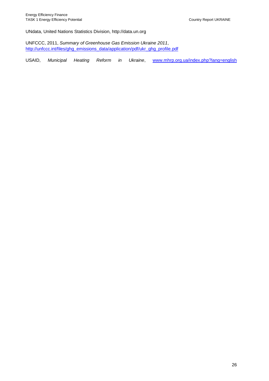UNdata, United Nations Statistics Division, http://data.un.org

UNFCCC, 2011, *Summary of Greenhouse Gas Emission Ukraine 2011*, [http://unfccc.int/files/ghg\\_emissions\\_data/application/pdf/ukr\\_ghg\\_profile.pdf](http://unfccc.int/files/ghg_emissions_data/application/pdf/ukr_ghg_profile.pdf)

USAID, *Municipal Heating Reform in Ukraine*, [www.mhrp.org.ua/index.php?lang=english](http://www.mhrp.org.ua/index.php?lang=english)